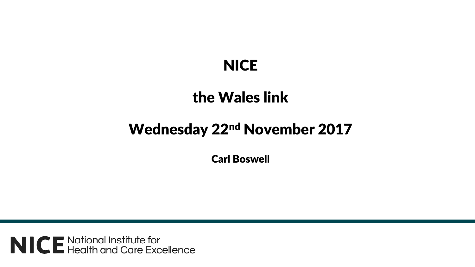## **NICE**

## the Wales link

## Wednesday 22nd November 2017

Carl Boswell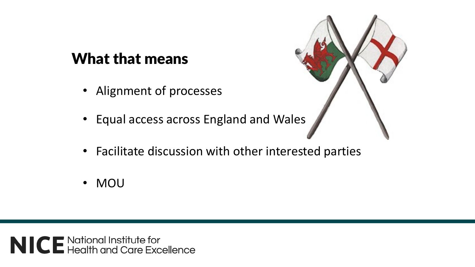## What that means

- Alignment of processes
- Equal access across England and Wales
- Facilitate discussion with other interested parties
- MOU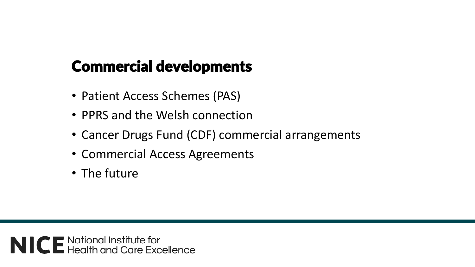## Commercial developments

- Patient Access Schemes (PAS)
- PPRS and the Welsh connection
- Cancer Drugs Fund (CDF) commercial arrangements
- Commercial Access Agreements
- The future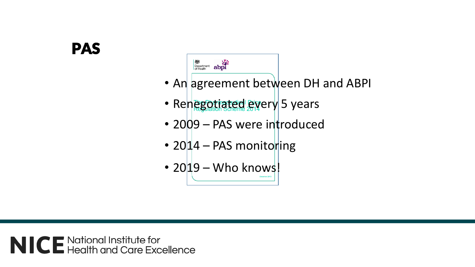## PAS



- An agreement between DH and ABPI
- Renegotiated every 5 years
- 2009 PAS were introduced
- 20 $14$  PAS monitoring
- 2019 Who knows!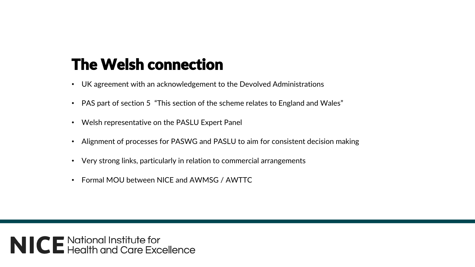## The Welsh connection

- UK agreement with an acknowledgement to the Devolved Administrations
- PAS part of section 5 "This section of the scheme relates to England and Wales"
- Welsh representative on the PASLU Expert Panel
- Alignment of processes for PASWG and PASLU to aim for consistent decision making
- Very strong links, particularly in relation to commercial arrangements
- Formal MOU between NICE and AWMSG / AWTTC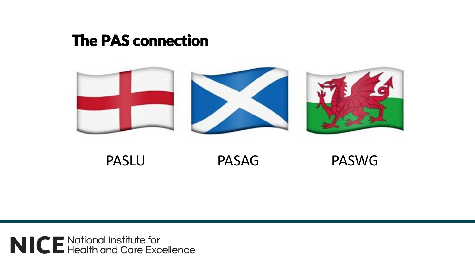#### **The PAS connection**



**PASLU** 

**PASAG** 

**PASWG**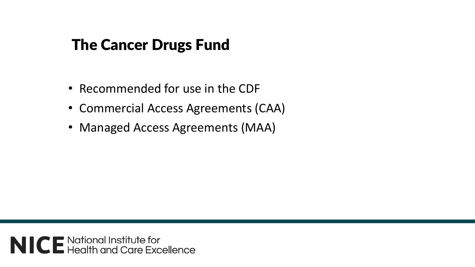## The Cancer Drugs Fund

- Recommended for use in the CDF
- Commercial Access Agreements (CAA)
- Managed Access Agreements (MAA)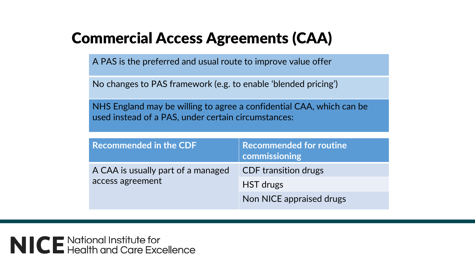## Commercial Access Agreements (CAA)

A PAS is the preferred and usual route to improve value offer

No changes to PAS framework (e.g. to enable 'blended pricing')

NHS England may be willing to agree a confidential CAA, which can be used instead of a PAS, under certain circumstances:

| <b>Recommended in the CDF</b>                          | <b>Recommended for routine</b><br>commissioning |
|--------------------------------------------------------|-------------------------------------------------|
| A CAA is usually part of a managed<br>access agreement | <b>CDF</b> transition drugs                     |
|                                                        | HST drugs                                       |
|                                                        | Non NICE appraised drugs                        |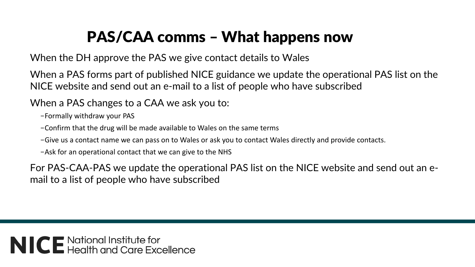# PAS/CAA comms – What happens now

When the DH approve the PAS we give contact details to Wales

When a PAS forms part of published NICE guidance we update the operational PAS list on the NICE website and send out an e-mail to a list of people who have subscribed

When a PAS changes to a CAA we ask you to:

–Formally withdraw your PAS

–Confirm that the drug will be made available to Wales on the same terms

–Give us a contact name we can pass on to Wales or ask you to contact Wales directly and provide contacts.

–Ask for an operational contact that we can give to the NHS

For PAS-CAA-PAS we update the operational PAS list on the NICE website and send out an email to a list of people who have subscribed